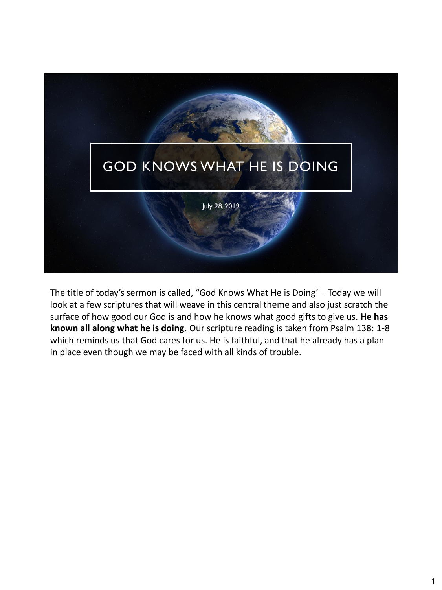

The title of today's sermon is called, "God Knows What He is Doing' – Today we will look at a few scriptures that will weave in this central theme and also just scratch the surface of how good our God is and how he knows what good gifts to give us. **He has known all along what he is doing.** Our scripture reading is taken from Psalm 138: 1-8 which reminds us that God cares for us. He is faithful, and that he already has a plan in place even though we may be faced with all kinds of trouble.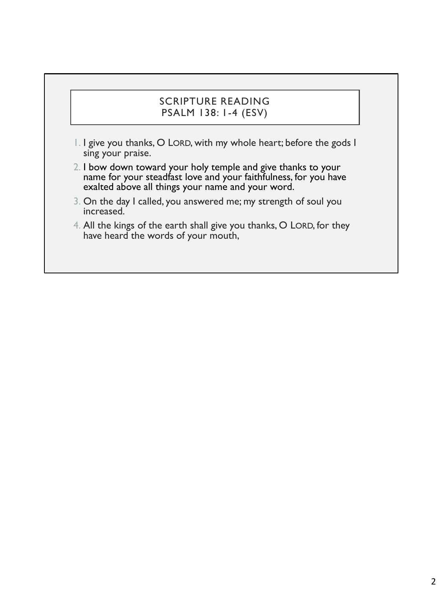#### SCRIPTURE READING PSALM 138: 1-4 (ESV)

- 1. I give you thanks, O LORD, with my whole heart; before the gods I sing your praise.
- 2. I bow down toward your holy temple and give thanks to your name for your steadfast love and your faithfulness, for you have exalted above all things your name and your word.
- 3. On the day I called, you answered me; my strength of soul you increased.
- 4. All the kings of the earth shall give you thanks, O LORD, for they have heard the words of your mouth,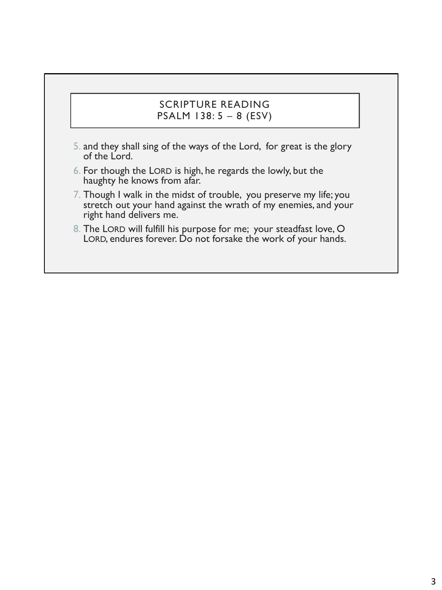#### SCRIPTURE READING PSALM 138: 5 – 8 (ESV)

- 5. and they shall sing of the ways of the Lord, for great is the glory of the Lord.
- 6. For though the LORD is high, he regards the lowly, but the haughty he knows from afar.
- 7. Though I walk in the midst of trouble, you preserve my life; you stretch out your hand against the wrath of my enemies, and your right hand delivers me.
- 8. The LORD will fulfill his purpose for me; your steadfast love, O LORD, endures forever. Do not forsake the work of your hands.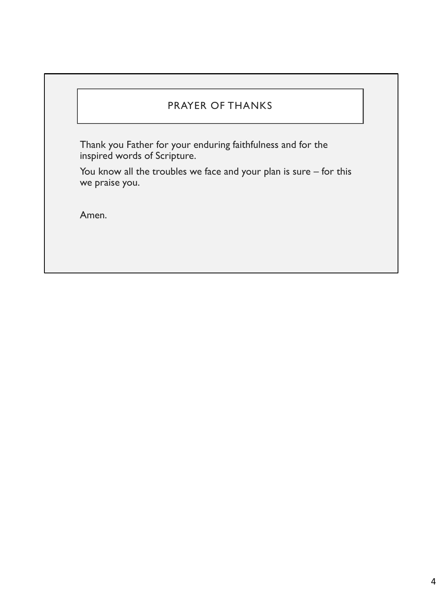#### PRAYER OF THANKS

Thank you Father for your enduring faithfulness and for the inspired words of Scripture.

You know all the troubles we face and your plan is sure – for this we praise you.

Amen.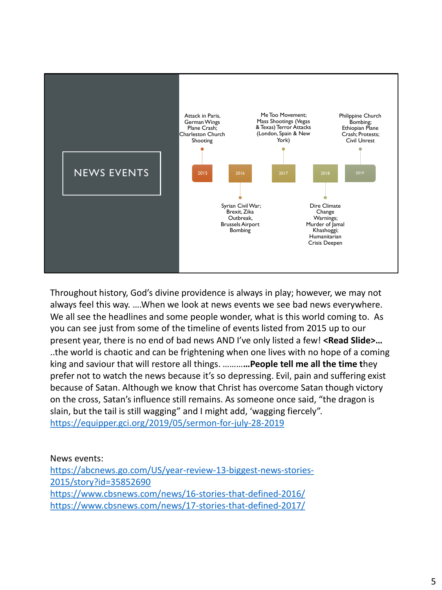

Throughout history, God's divine providence is always in play; however, we may not always feel this way. ….When we look at news events we see bad news everywhere. We all see the headlines and some people wonder, what is this world coming to. As you can see just from some of the timeline of events listed from 2015 up to our present year, there is no end of bad news AND I've only listed a few! **<Read Slide>…** ..the world is chaotic and can be frightening when one lives with no hope of a coming king and saviour that will restore all things. ………**…People tell me all the time t**hey prefer not to watch the news because it's so depressing. Evil, pain and suffering exist because of Satan. Although we know that Christ has overcome Satan though victory on the cross, Satan's influence still remains. As someone once said, "the dragon is slain, but the tail is still wagging" and I might add, 'wagging fiercely". https://equipper.gci.org/2019/05/sermon-for-july-28-2019

#### News events:

https://abcnews.go.com/US/year-review-13-biggest-news-stories-2015/story?id=35852690 https://www.cbsnews.com/news/16-stories-that-defined-2016/ https://www.cbsnews.com/news/17-stories-that-defined-2017/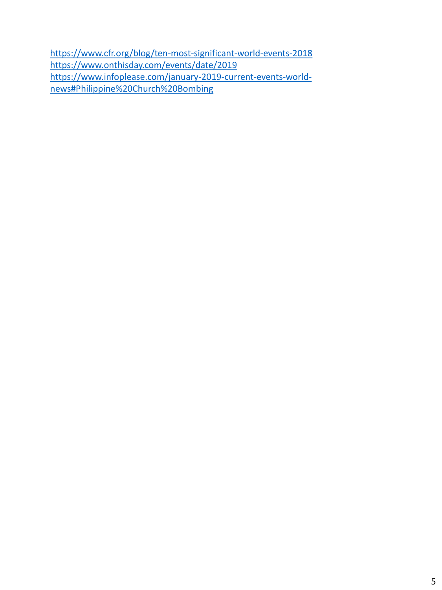https://www.cfr.org/blog/ten-most-significant-world-events-2018 https://www.onthisday.com/events/date/2019 https://www.infoplease.com/january-2019-current-events-worldnews#Philippine%20Church%20Bombing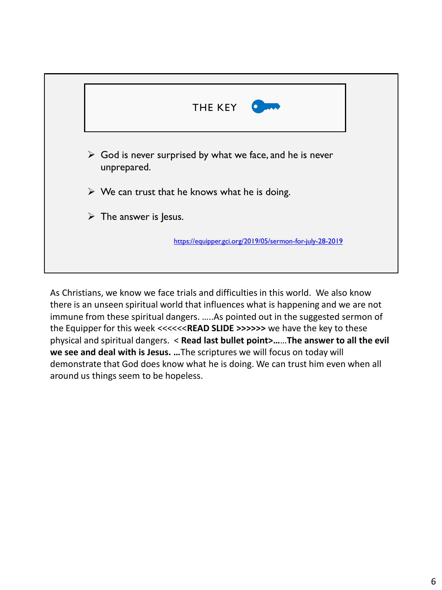

As Christians, we know we face trials and difficulties in this world. We also know there is an unseen spiritual world that influences what is happening and we are not immune from these spiritual dangers. …..As pointed out in the suggested sermon of the Equipper for this week <<<<<<**READ SLIDE >>>>>>** we have the key to these physical and spiritual dangers. < **Read last bullet point>…**…**The answer to all the evil we see and deal with is Jesus. …**The scriptures we will focus on today will demonstrate that God does know what he is doing. We can trust him even when all around us things seem to be hopeless.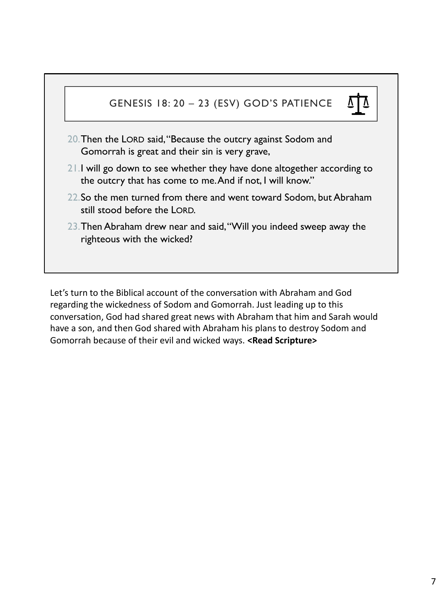

Let's turn to the Biblical account of the conversation with Abraham and God regarding the wickedness of Sodom and Gomorrah. Just leading up to this conversation, God had shared great news with Abraham that him and Sarah would have a son, and then God shared with Abraham his plans to destroy Sodom and Gomorrah because of their evil and wicked ways. **<Read Scripture>**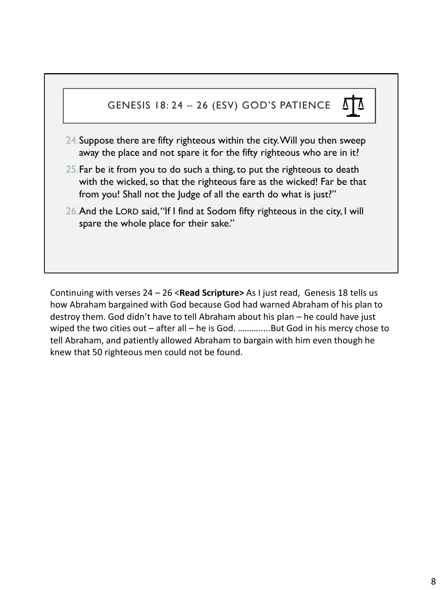# GENESIS 18: 24 – 26 (ESV) GOD'S PATIENCE

- 24.Suppose there are fifty righteous within the city. Will you then sweep away the place and not spare it for the fifty righteous who are in it?
- 25. Far be it from you to do such a thing, to put the righteous to death with the wicked, so that the righteous fare as the wicked! Far be that from you! Shall not the Judge of all the earth do what is just?"
- 26.And the LORD said, "If I find at Sodom fifty righteous in the city, I will spare the whole place for their sake."

Continuing with verses 24 – 26 <**Read Scripture>** As I just read, Genesis 18 tells us how Abraham bargained with God because God had warned Abraham of his plan to destroy them. God didn't have to tell Abraham about his plan – he could have just wiped the two cities out – after all – he is God. ……….....But God in his mercy chose to tell Abraham, and patiently allowed Abraham to bargain with him even though he knew that 50 righteous men could not be found.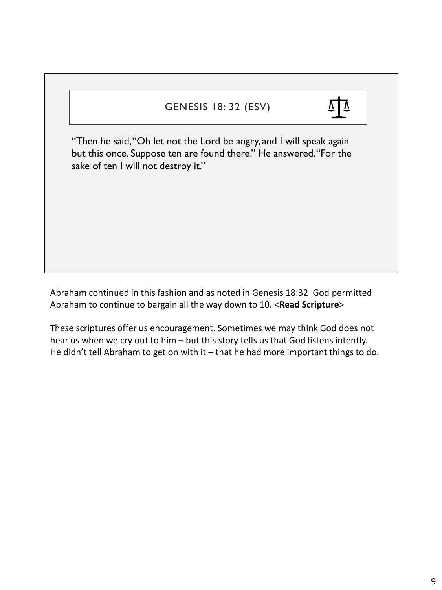# GENESIS 18: 32 (ESV)

"Then he said, "Oh let not the Lord be angry, and I will speak again but this once. Suppose ten are found there." He answered, "For the sake of ten I will not destroy it."

Abraham continued in this fashion and as noted in Genesis 18:32 God permitted Abraham to continue to bargain all the way down to 10. <**Read Scripture**>

These scriptures offer us encouragement. Sometimes we may think God does not hear us when we cry out to him – but this story tells us that God listens intently. He didn't tell Abraham to get on with it – that he had more important things to do.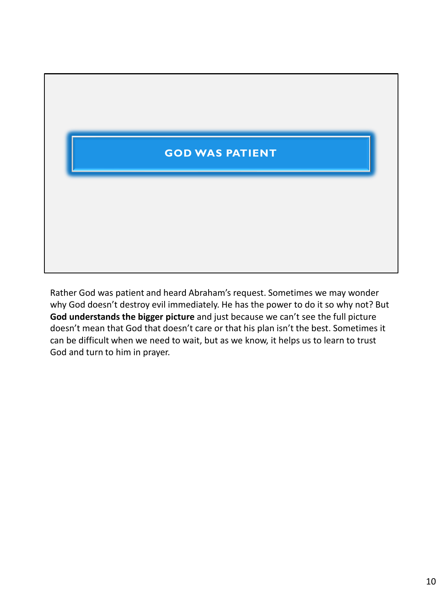

Rather God was patient and heard Abraham's request. Sometimes we may wonder why God doesn't destroy evil immediately. He has the power to do it so why not? But **God understands the bigger picture** and just because we can't see the full picture doesn't mean that God that doesn't care or that his plan isn't the best. Sometimes it can be difficult when we need to wait, but as we know, it helps us to learn to trust God and turn to him in prayer.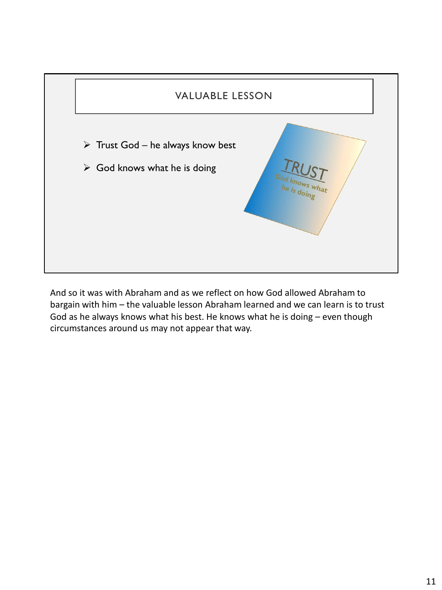

And so it was with Abraham and as we reflect on how God allowed Abraham to bargain with him – the valuable lesson Abraham learned and we can learn is to trust God as he always knows what his best. He knows what he is doing – even though circumstances around us may not appear that way.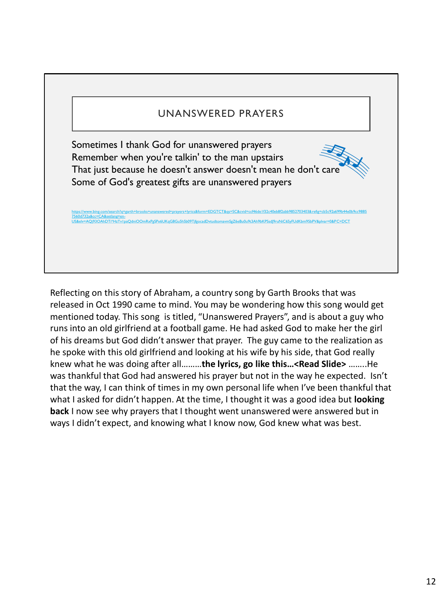#### UNANSWERED PRAYERS

Sometimes I thank God for unanswered prayers Remember when you're talkin' to the man upstairs That just because he doesn't answer doesn't mean he don't care Some of God's greatest gifts are unanswered prayers

https://www.bing.com/search?q=garth+brooks+unanswered+prayers+lyrics&form=EDGTCT&qs=SC&cvid=ccf46de1f32c40eb8f2abb9852703403&refig=cb5c92a699b44e0b9cc9885 7560d732a&cc=CA&setlang=en-US&elv=AQj93OAhDTi\*HzTv1paQdniOOmRxPgSPx6UKqG8Gu5hSb09TjfgocadDvtudtomavmSgZ6eBu0u9t3Ah9bKPSsdJ9ruNiC6SyFUdKbm95bPV&plvar=0&PC=DCT

Reflecting on this story of Abraham, a country song by Garth Brooks that was released in Oct 1990 came to mind. You may be wondering how this song would get mentioned today. This song is titled, "Unanswered Prayers", and is about a guy who runs into an old girlfriend at a football game. He had asked God to make her the girl of his dreams but God didn't answer that prayer. The guy came to the realization as he spoke with this old girlfriend and looking at his wife by his side, that God really knew what he was doing after all………**the lyrics, go like this…<Read Slide>** ……..He was thankful that God had answered his prayer but not in the way he expected. Isn't that the way, I can think of times in my own personal life when I've been thankful that what I asked for didn't happen. At the time, I thought it was a good idea but **looking back** I now see why prayers that I thought went unanswered were answered but in ways I didn't expect, and knowing what I know now, God knew what was best.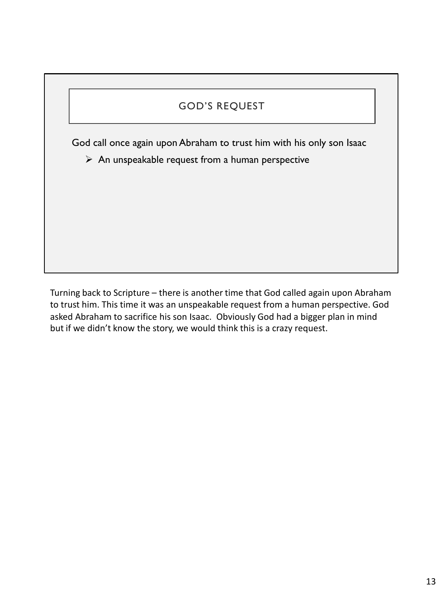## GOD'S REQUEST

God call once again upon Abraham to trust him with his only son Isaac

➢ An unspeakable request from a human perspective

Turning back to Scripture – there is another time that God called again upon Abraham to trust him. This time it was an unspeakable request from a human perspective. God asked Abraham to sacrifice his son Isaac. Obviously God had a bigger plan in mind but if we didn't know the story, we would think this is a crazy request.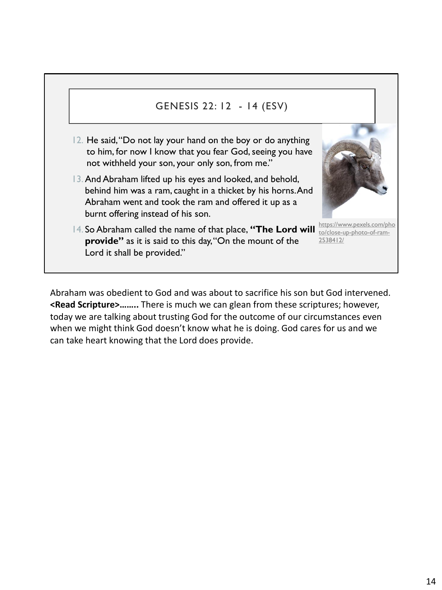#### GENESIS 22: 12 - 14 (ESV)

- 12. He said, "Do not lay your hand on the boy or do anything to him, for now I know that you fear God, seeing you have not withheld your son, your only son, from me."
- 13.And Abraham lifted up his eyes and looked, and behold, behind him was a ram, caught in a thicket by his horns. And Abraham went and took the ram and offered it up as a burnt offering instead of his son.



14. So Abraham called the name of that place, "The Lord will **Index Arrow Contains to Abraham provide"** as it is said to this day, "On the mount of the Lord it shall be provided."

https://www.pexels.com/pho 2538412/

Abraham was obedient to God and was about to sacrifice his son but God intervened. **<Read Scripture>……..** There is much we can glean from these scriptures; however, today we are talking about trusting God for the outcome of our circumstances even when we might think God doesn't know what he is doing. God cares for us and we can take heart knowing that the Lord does provide.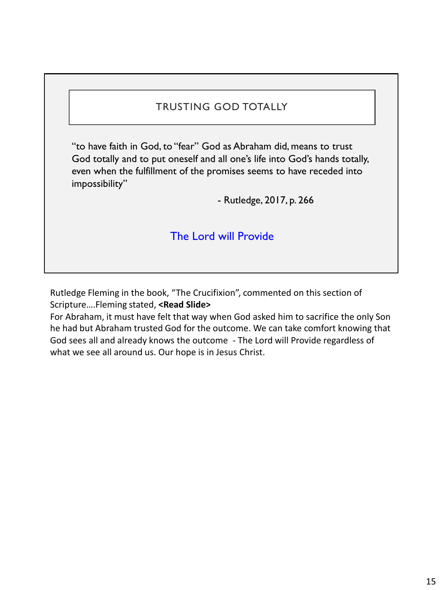## TRUSTING GOD TOTALLY

"to have faith in God, to "fear" God as Abraham did, means to trust God totally and to put oneself and all one's life into God's hands totally, even when the fulfillment of the promises seems to have receded into impossibility"

- Rutledge, 2017, p. 266

The Lord will Provide

Rutledge Fleming in the book, "The Crucifixion", commented on this section of Scripture….Fleming stated, **<Read Slide>**

For Abraham, it must have felt that way when God asked him to sacrifice the only Son he had but Abraham trusted God for the outcome. We can take comfort knowing that God sees all and already knows the outcome - The Lord will Provide regardless of what we see all around us. Our hope is in Jesus Christ.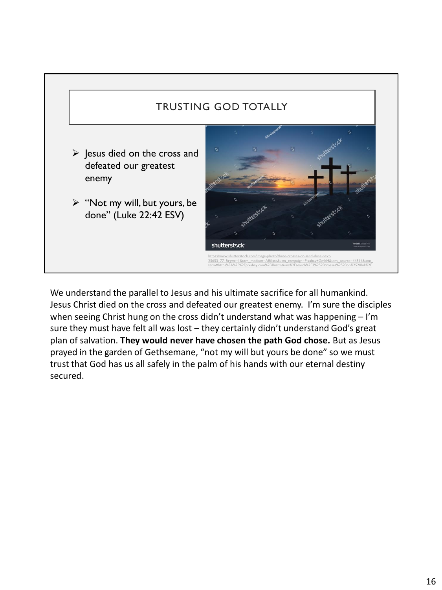

We understand the parallel to Jesus and his ultimate sacrifice for all humankind. Jesus Christ died on the cross and defeated our greatest enemy. I'm sure the disciples when seeing Christ hung on the cross didn't understand what was happening - I'm sure they must have felt all was lost – they certainly didn't understand God's great plan of salvation. **They would never have chosen the path God chose.** But as Jesus prayed in the garden of Gethsemane, "not my will but yours be done" so we must trust that God has us all safely in the palm of his hands with our eternal destiny secured.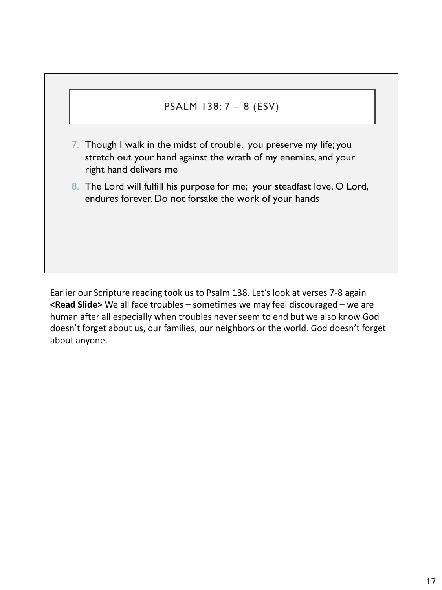#### PSALM 138: 7 – 8 (ESV)

- 7. Though I walk in the midst of trouble, you preserve my life; you stretch out your hand against the wrath of my enemies, and your right hand delivers me
- 8. The Lord will fulfill his purpose for me; your steadfast love, O Lord, endures forever. Do not forsake the work of your hands

Earlier our Scripture reading took us to Psalm 138. Let's look at verses 7-8 again **<Read Slide>** We all face troubles – sometimes we may feel discouraged – we are human after all especially when troubles never seem to end but we also know God doesn't forget about us, our families, our neighbors or the world. God doesn't forget about anyone.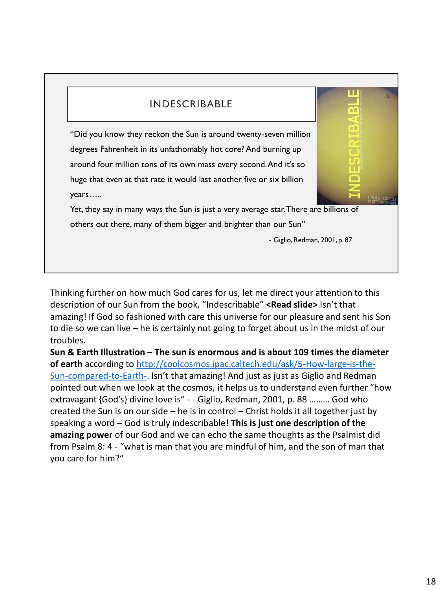#### INDESCRIBABLE

"Did you know they reckon the Sun is around twenty-seven million degrees Fahrenheit in its unfathomably hot core? And burning up around four million tons of its own mass every second. And it's so huge that even at that rate it would last another five or six billion years…..

Yet, they say in many ways the Sun is just a very average star. There are billions of others out there, many of them bigger and brighter than our Sun"

- Giglio, Redman, 2001, p. 87

Thinking further on how much God cares for us, let me direct your attention to this description of our Sun from the book, "Indescribable" **<Read slide>** Isn't that amazing! If God so fashioned with care this universe for our pleasure and sent his Son to die so we can live – he is certainly not going to forget about us in the midst of our troubles.

**Sun & Earth Illustration** – **The sun is enormous and is about 109 times the diameter of earth** according to http://coolcosmos.ipac.caltech.edu/ask/5-How-large-is-the-Sun-compared-to-Earth-. Isn't that amazing! And just as just as Giglio and Redman pointed out when we look at the cosmos, it helps us to understand even further "how extravagant {God's} divine love is" - - Giglio, Redman, 2001, p. 88 ……… God who created the Sun is on our side – he is in control – Christ holds it all together just by speaking a word – God is truly indescribable! **This is just one description of the amazing power** of our God and we can echo the same thoughts as the Psalmist did from Psalm 8: 4 - "what is man that you are mindful of him, and the son of man that you care for him?"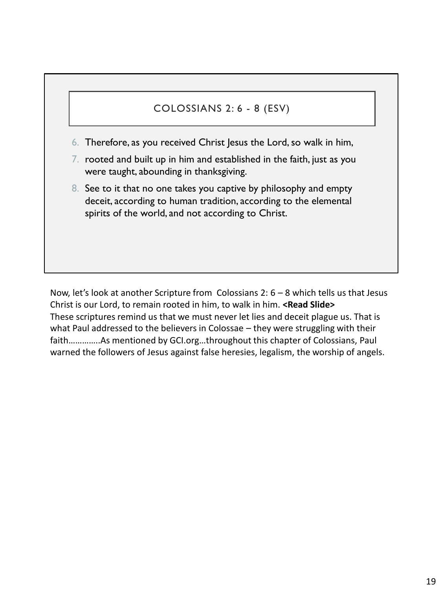## COLOSSIANS 2: 6 - 8 (ESV)

- 6. Therefore, as you received Christ Jesus the Lord, so walk in him,
- 7. rooted and built up in him and established in the faith, just as you were taught, abounding in thanksgiving.
- 8. See to it that no one takes you captive by philosophy and empty deceit, according to human tradition, according to the elemental spirits of the world, and not according to Christ.

Now, let's look at another Scripture from Colossians 2: 6 – 8 which tells us that Jesus Christ is our Lord, to remain rooted in him, to walk in him. **<Read Slide>** These scriptures remind us that we must never let lies and deceit plague us. That is what Paul addressed to the believers in Colossae – they were struggling with their faith…………..As mentioned by GCI.org…throughout this chapter of Colossians, Paul warned the followers of Jesus against false heresies, legalism, the worship of angels.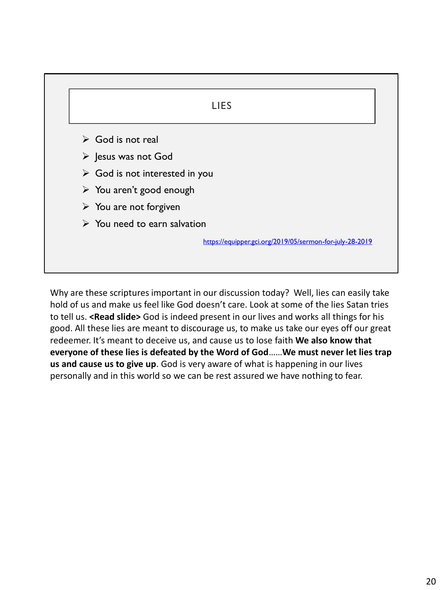# LIES  $\triangleright$  God is not real  $\triangleright$  Jesus was not God  $\triangleright$  God is not interested in you ➢ You aren't good enough ➢ You are not forgiven  $\triangleright$  You need to earn salvation https://equipper.gci.org/2019/05/sermon-for-july-28-2019

Why are these scriptures important in our discussion today? Well, lies can easily take hold of us and make us feel like God doesn't care. Look at some of the lies Satan tries to tell us. **<Read slide>** God is indeed present in our lives and works all things for his good. All these lies are meant to discourage us, to make us take our eyes off our great redeemer. It's meant to deceive us, and cause us to lose faith **We also know that everyone of these lies is defeated by the Word of God**……**We must never let lies trap us and cause us to give up**. God is very aware of what is happening in our lives personally and in this world so we can be rest assured we have nothing to fear.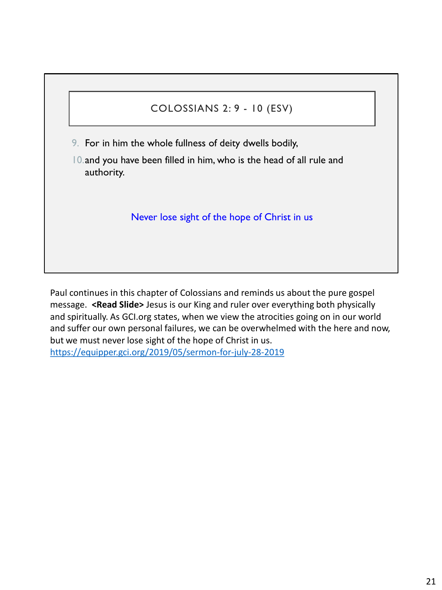#### COLOSSIANS 2: 9 - 10 (ESV)

- 9. For in him the whole fullness of deity dwells bodily,
- 10.and you have been filled in him, who is the head of all rule and authority.

Never lose sight of the hope of Christ in us

Paul continues in this chapter of Colossians and reminds us about the pure gospel message. **<Read Slide>** Jesus is our King and ruler over everything both physically and spiritually. As GCI.org states, when we view the atrocities going on in our world and suffer our own personal failures, we can be overwhelmed with the here and now, but we must never lose sight of the hope of Christ in us. https://equipper.gci.org/2019/05/sermon-for-july-28-2019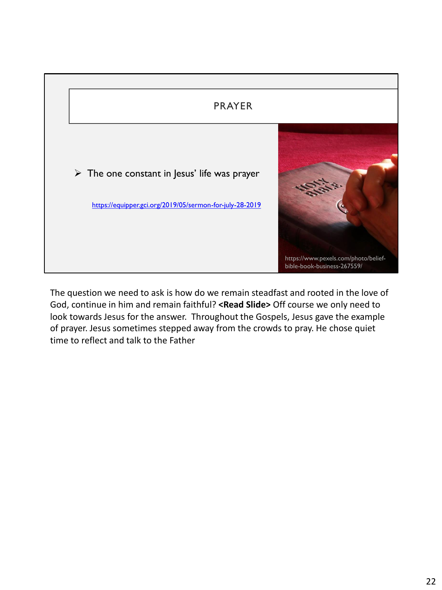

The question we need to ask is how do we remain steadfast and rooted in the love of God, continue in him and remain faithful? **<Read Slide>** Off course we only need to look towards Jesus for the answer. Throughout the Gospels, Jesus gave the example of prayer. Jesus sometimes stepped away from the crowds to pray. He chose quiet time to reflect and talk to the Father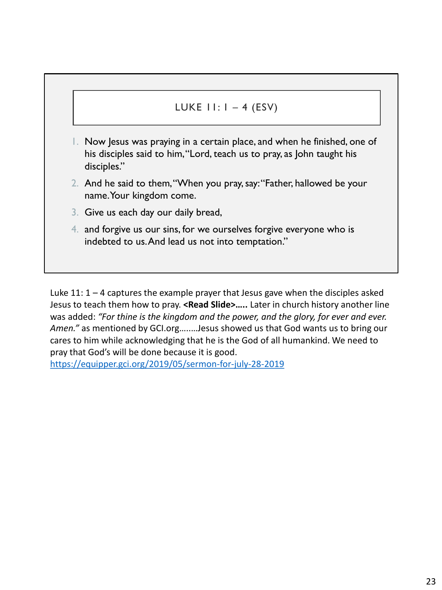## LUKE  $11: 1 - 4$  (ESV)

- 1. Now Jesus was praying in a certain place, and when he finished, one of his disciples said to him, "Lord, teach us to pray, as John taught his disciples."
- 2. And he said to them, "When you pray, say: "Father, hallowed be your name. Your kingdom come.
- 3. Give us each day our daily bread,
- 4. and forgive us our sins, for we ourselves forgive everyone who is indebted to us. And lead us not into temptation."

Luke 11:  $1 - 4$  captures the example prayer that Jesus gave when the disciples asked Jesus to teach them how to pray. **<Read Slide>…..** Later in church history another line was added: *"For thine is the kingdom and the power, and the glory, for ever and ever. Amen."* as mentioned by GCI.org…..…Jesus showed us that God wants us to bring our cares to him while acknowledging that he is the God of all humankind. We need to pray that God's will be done because it is good.

https://equipper.gci.org/2019/05/sermon-for-july-28-2019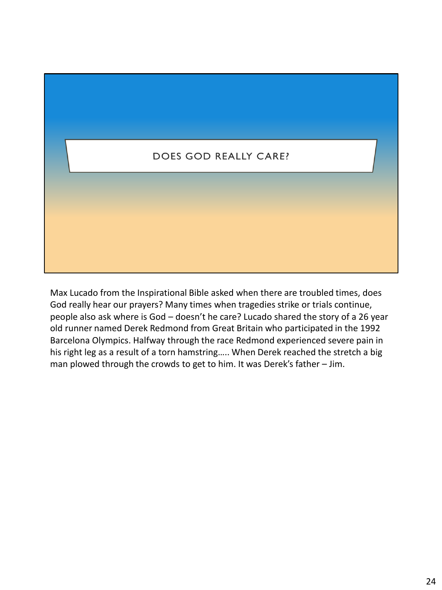

Max Lucado from the Inspirational Bible asked when there are troubled times, does God really hear our prayers? Many times when tragedies strike or trials continue, people also ask where is God – doesn't he care? Lucado shared the story of a 26 year old runner named Derek Redmond from Great Britain who participated in the 1992 Barcelona Olympics. Halfway through the race Redmond experienced severe pain in his right leg as a result of a torn hamstring….. When Derek reached the stretch a big man plowed through the crowds to get to him. It was Derek's father – Jim.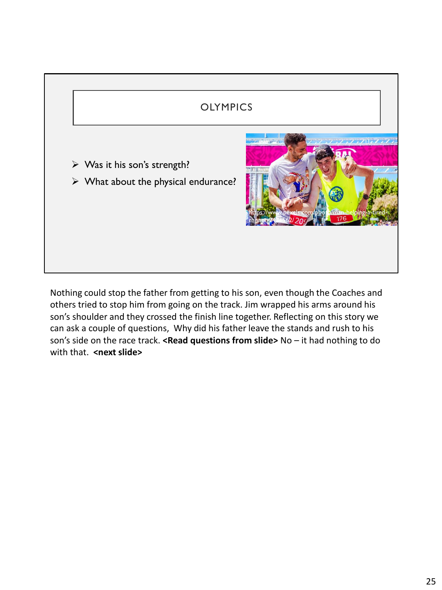# **OLYMPICS**

- $\triangleright$  Was it his son's strength?
- $\triangleright$  What about the physical endurance?



Nothing could stop the father from getting to his son, even though the Coaches and others tried to stop him from going on the track. Jim wrapped his arms around his son's shoulder and they crossed the finish line together. Reflecting on this story we can ask a couple of questions, Why did his father leave the stands and rush to his son's side on the race track. **<Read questions from slide>** No – it had nothing to do with that. **<next slide>**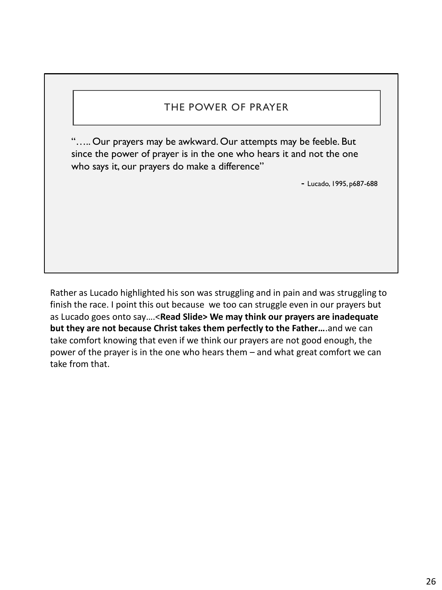#### THE POWER OF PRAYER

"….. Our prayers may be awkward. Our attempts may be feeble. But since the power of prayer is in the one who hears it and not the one who says it, our prayers do make a difference"

- Lucado, 1995, p687-688

Rather as Lucado highlighted his son was struggling and in pain and was struggling to finish the race. I point this out because we too can struggle even in our prayers but as Lucado goes onto say….<**Read Slide> We may think our prayers are inadequate but they are not because Christ takes them perfectly to the Father…**.and we can take comfort knowing that even if we think our prayers are not good enough, the power of the prayer is in the one who hears them – and what great comfort we can take from that.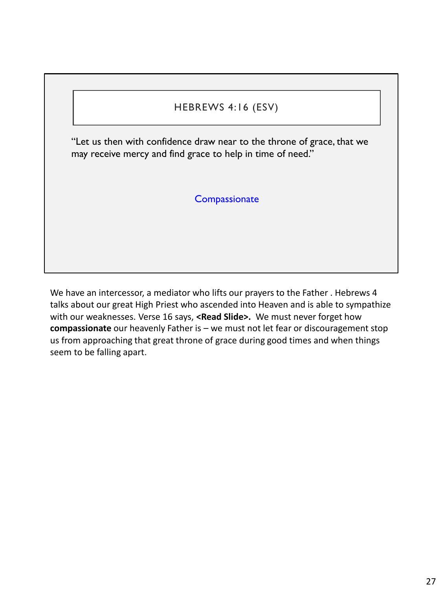#### HEBREWS 4:16 (ESV)

"Let us then with confidence draw near to the throne of grace, that we may receive mercy and find grace to help in time of need."

**Compassionate** 

We have an intercessor, a mediator who lifts our prayers to the Father . Hebrews 4 talks about our great High Priest who ascended into Heaven and is able to sympathize with our weaknesses. Verse 16 says, **<Read Slide>.** We must never forget how **compassionate** our heavenly Father is – we must not let fear or discouragement stop us from approaching that great throne of grace during good times and when things seem to be falling apart.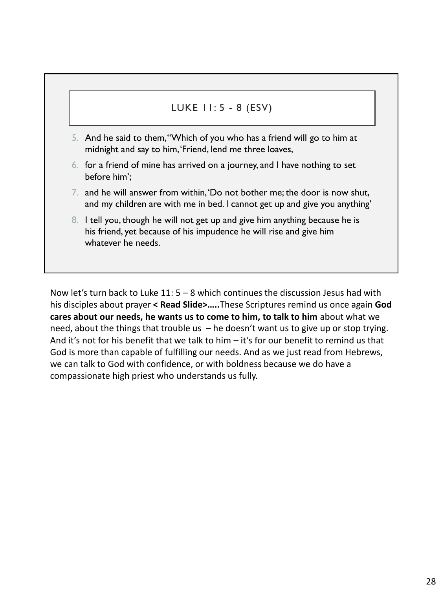#### LUKE 11: 5 - 8 (ESV)

- 5. And he said to them, "Which of you who has a friend will go to him at midnight and say to him, 'Friend, lend me three loaves,
- 6. for a friend of mine has arrived on a journey, and I have nothing to set before him';
- 7. and he will answer from within, 'Do not bother me; the door is now shut, and my children are with me in bed. I cannot get up and give you anything'
- 8. I tell you, though he will not get up and give him anything because he is his friend, yet because of his impudence he will rise and give him whatever he needs.

Now let's turn back to Luke 11: 5 – 8 which continues the discussion Jesus had with his disciples about prayer **< Read Slide>…..**These Scriptures remind us once again **God cares about our needs, he wants us to come to him, to talk to him** about what we need, about the things that trouble us – he doesn't want us to give up or stop trying. And it's not for his benefit that we talk to him – it's for our benefit to remind us that God is more than capable of fulfilling our needs. And as we just read from Hebrews, we can talk to God with confidence, or with boldness because we do have a compassionate high priest who understands us fully.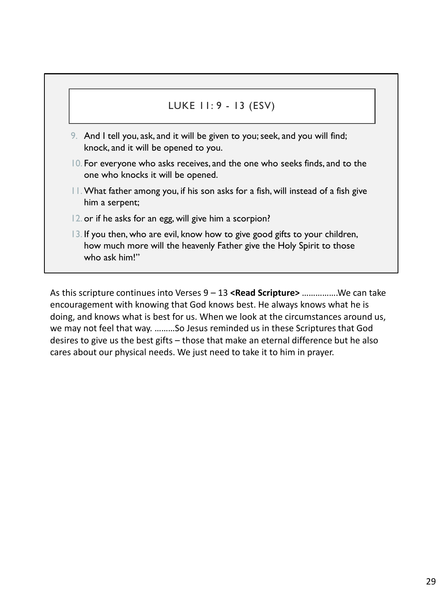#### LUKE 11: 9 - 13 (ESV)

- 9. And I tell you, ask, and it will be given to you; seek, and you will find; knock, and it will be opened to you.
- 10. For everyone who asks receives, and the one who seeks finds, and to the one who knocks it will be opened.
- 11.What father among you, if his son asks for a fish, will instead of a fish give him a serpent;
- 12. or if he asks for an egg, will give him a scorpion?
- 13. If you then, who are evil, know how to give good gifts to your children, how much more will the heavenly Father give the Holy Spirit to those who ask him!"

As this scripture continues into Verses 9 – 13 **<Read Scripture>** …………….We can take encouragement with knowing that God knows best. He always knows what he is doing, and knows what is best for us. When we look at the circumstances around us, we may not feel that way. ………So Jesus reminded us in these Scriptures that God desires to give us the best gifts – those that make an eternal difference but he also cares about our physical needs. We just need to take it to him in prayer.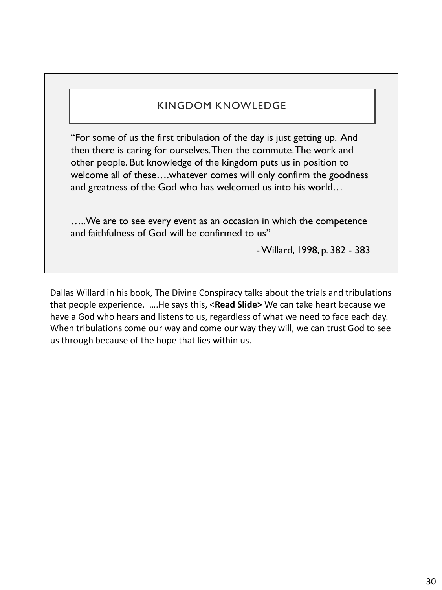#### KINGDOM KNOWLEDGE

"For some of us the first tribulation of the day is just getting up. And then there is caring for ourselves. Then the commute. The work and other people. But knowledge of the kingdom puts us in position to welcome all of these….whatever comes will only confirm the goodness and greatness of the God who has welcomed us into his world…

…..We are to see every event as an occasion in which the competence and faithfulness of God will be confirmed to us"

-Willard, 1998, p. 382 - 383

Dallas Willard in his book, The Divine Conspiracy talks about the trials and tribulations that people experience. ….He says this, <**Read Slide>** We can take heart because we have a God who hears and listens to us, regardless of what we need to face each day. When tribulations come our way and come our way they will, we can trust God to see us through because of the hope that lies within us.